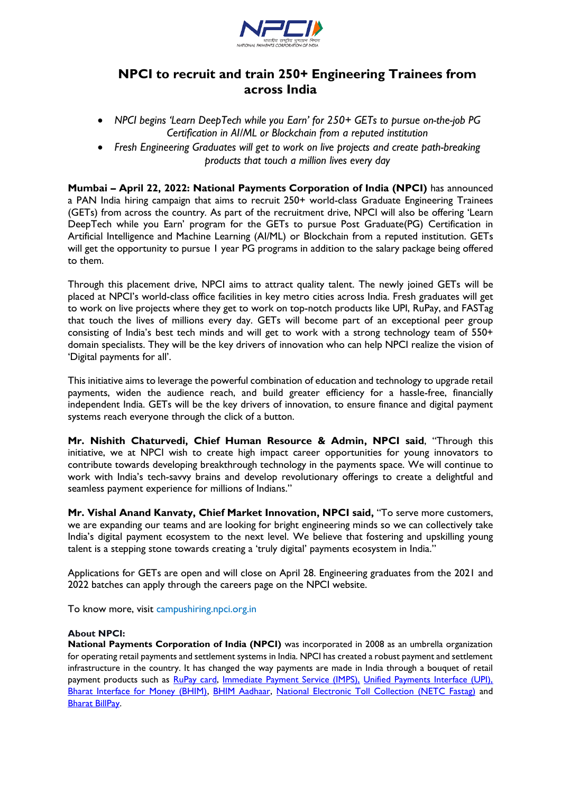

## **NPCI to recruit and train 250+ Engineering Trainees from across India**

- *NPCI begins 'Learn DeepTech while you Earn' for 250+ GETs to pursue on-the-job PG Certification in AI/ML or Blockchain from a reputed institution*
- *Fresh Engineering Graduates will get to work on live projects and create path-breaking products that touch a million lives every day*

**Mumbai – April 22, 2022: National Payments Corporation of India (NPCI)** has announced a PAN India hiring campaign that aims to recruit 250+ world-class Graduate Engineering Trainees (GETs) from across the country*.* As part of the recruitment drive, NPCI will also be offering 'Learn DeepTech while you Earn' program for the GETs to pursue Post Graduate(PG) Certification in Artificial Intelligence and Machine Learning (AI/ML) or Blockchain from a reputed institution. GETs will get the opportunity to pursue 1 year PG programs in addition to the salary package being offered to them.

Through this placement drive, NPCI aims to attract quality talent. The newly joined GETs will be placed at NPCI's world-class office facilities in key metro cities across India. Fresh graduates will get to work on live projects where they get to work on top-notch products like UPI, RuPay, and FASTag that touch the lives of millions every day. GETs will become part of an exceptional peer group consisting of India's best tech minds and will get to work with a strong technology team of 550+ domain specialists. They will be the key drivers of innovation who can help NPCI realize the vision of 'Digital payments for all'.

This initiative aims to leverage the powerful combination of education and technology to upgrade retail payments, widen the audience reach, and build greater efficiency for a hassle-free, financially independent India. GETs will be the key drivers of innovation, to ensure finance and digital payment systems reach everyone through the click of a button.

**Mr. Nishith Chaturvedi, Chief Human Resource & Admin, NPCI said**, "Through this initiative, we at NPCI wish to create high impact career opportunities for young innovators to contribute towards developing breakthrough technology in the payments space. We will continue to work with India's tech-savvy brains and develop revolutionary offerings to create a delightful and seamless payment experience for millions of Indians."

**Mr. Vishal Anand Kanvaty, Chief Market Innovation, NPCI said,** "To serve more customers, we are expanding our teams and are looking for bright engineering minds so we can collectively take India's digital payment ecosystem to the next level. We believe that fostering and upskilling young talent is a stepping stone towards creating a 'truly digital' payments ecosystem in India."

Applications for GETs are open and will close on April 28. Engineering graduates from the 2021 and 2022 batches can apply through the careers page on the NPCI website.

To know more, visit campushiring.npci.org.in

## **About NPCI:**

**National Payments Corporation of India (NPCI)** was incorporated in 2008 as an umbrella organization for operating retail payments and settlement systems in India. NPCI has created a robust payment and settlement infrastructure in the country. It has changed the way payments are made in India through a bouquet of retail payment products such as [RuPay card,](https://www.npci.org.in/product-overview/rupay-product-overview) [Immediate Payment Service \(IMPS\),](https://www.npci.org.in/product-overview/imps-product-overview) [Unified Payments Interface \(UPI\),](https://www.npci.org.in/product-overview/upi-product-overview) [Bharat Interface for Money \(BHIM\),](https://www.npci.org.in/product-overview/bhim-product-overview) [BHIM Aadhaar,](https://www.npci.org.in/product-overview/bhim-aadhaar) [National Electronic Toll Collection \(NETC Fastag\)](https://www.npci.org.in/netc) and [Bharat BillPay.](https://www.npci.org.in/product-overview/bharat-billpay-product-overview)